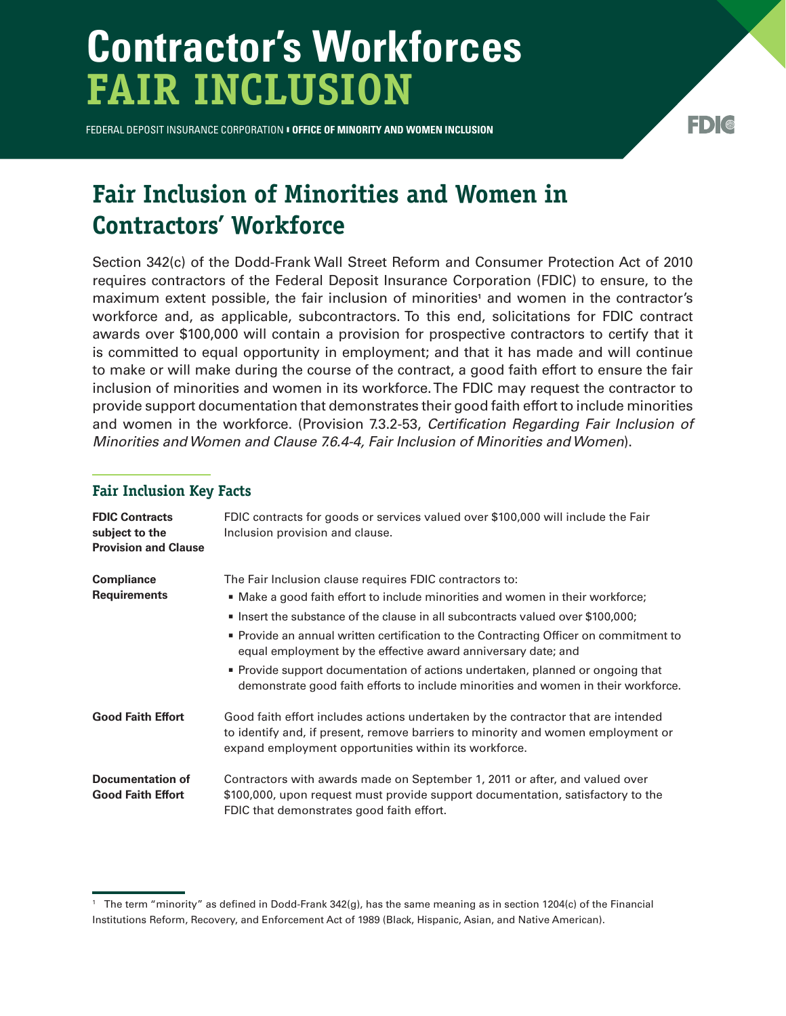## **Contractor's Workforces FAIR INCLUSION**

FEDERAL DEPOSIT INSURANCE CORPORATION § **OFFICE OF MINORITY AND WOMEN INCLUSION**

## ED) (@

## **Fair Inclusion of Minorities and Women in Contractors' Workforce**

Section 342(c) of the Dodd-Frank Wall Street Reform and Consumer Protection Act of 2010 requires contractors of the Federal Deposit Insurance Corporation (FDIC) to ensure, to the maximum extent possible, the fair inclusion of minorities<sup>1</sup> and women in the contractor's workforce and, as applicable, subcontractors. To this end, solicitations for FDIC contract awards over \$100,000 will contain a provision for prospective contractors to certify that it is committed to equal opportunity in employment; and that it has made and will continue to make or will make during the course of the contract, a good faith effort to ensure the fair inclusion of minorities and women in its workforce. The FDIC may request the contractor to provide support documentation that demonstrates their good faith effort to include minorities and women in the workforce. (Provision 7.3.2-53, *Certification Regarding Fair Inclusion of Minorities and Women and Clause 7.6.4-4, Fair Inclusion of Minorities and Women*).

## **Fair Inclusion Key Facts**

| <b>FDIC Contracts</b><br>subject to the<br><b>Provision and Clause</b> | FDIC contracts for goods or services valued over \$100,000 will include the Fair<br>Inclusion provision and clause.                                                                                                                                                                                                                                                                                                                                                  |
|------------------------------------------------------------------------|----------------------------------------------------------------------------------------------------------------------------------------------------------------------------------------------------------------------------------------------------------------------------------------------------------------------------------------------------------------------------------------------------------------------------------------------------------------------|
| <b>Compliance</b><br><b>Requirements</b>                               | The Fair Inclusion clause requires FDIC contractors to:<br>■ Make a good faith effort to include minorities and women in their workforce;<br>■ Insert the substance of the clause in all subcontracts valued over \$100,000;<br>Provide an annual written certification to the Contracting Officer on commitment to<br>equal employment by the effective award anniversary date; and<br>Provide support documentation of actions undertaken, planned or ongoing that |
| <b>Good Faith Effort</b>                                               | demonstrate good faith efforts to include minorities and women in their workforce.<br>Good faith effort includes actions undertaken by the contractor that are intended<br>to identify and, if present, remove barriers to minority and women employment or                                                                                                                                                                                                          |
| Documentation of<br><b>Good Faith Effort</b>                           | expand employment opportunities within its workforce.<br>Contractors with awards made on September 1, 2011 or after, and valued over<br>\$100,000, upon request must provide support documentation, satisfactory to the<br>FDIC that demonstrates good faith effort.                                                                                                                                                                                                 |

<sup>1</sup> The term "minority" as defined in Dodd-Frank 342(g), has the same meaning as in section 1204(c) of the Financial Institutions Reform, Recovery, and Enforcement Act of 1989 (Black, Hispanic, Asian, and Native American).